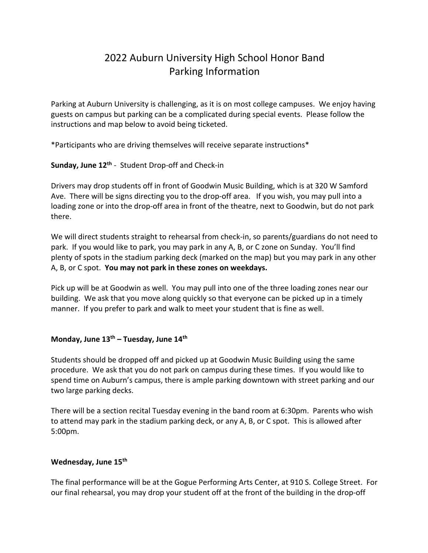## 2022 Auburn University High School Honor Band Parking Information

Parking at Auburn University is challenging, as it is on most college campuses. We enjoy having guests on campus but parking can be a complicated during special events. Please follow the instructions and map below to avoid being ticketed.

\*Participants who are driving themselves will receive separate instructions\*

**Sunday, June 12th** - Student Drop-off and Check-in

Drivers may drop students off in front of Goodwin Music Building, which is at 320 W Samford Ave. There will be signs directing you to the drop-off area. If you wish, you may pull into a loading zone or into the drop-off area in front of the theatre, next to Goodwin, but do not park there.

We will direct students straight to rehearsal from check-in, so parents/guardians do not need to park. If you would like to park, you may park in any A, B, or C zone on Sunday. You'll find plenty of spots in the stadium parking deck (marked on the map) but you may park in any other A, B, or C spot. **You may not park in these zones on weekdays.**

Pick up will be at Goodwin as well. You may pull into one of the three loading zones near our building. We ask that you move along quickly so that everyone can be picked up in a timely manner. If you prefer to park and walk to meet your student that is fine as well.

## **Monday, June 13th – Tuesday, June 14th**

Students should be dropped off and picked up at Goodwin Music Building using the same procedure. We ask that you do not park on campus during these times. If you would like to spend time on Auburn's campus, there is ample parking downtown with street parking and our two large parking decks.

There will be a section recital Tuesday evening in the band room at 6:30pm. Parents who wish to attend may park in the stadium parking deck, or any A, B, or C spot. This is allowed after 5:00pm.

## **Wednesday, June 15th**

The final performance will be at the Gogue Performing Arts Center, at 910 S. College Street. For our final rehearsal, you may drop your student off at the front of the building in the drop-off